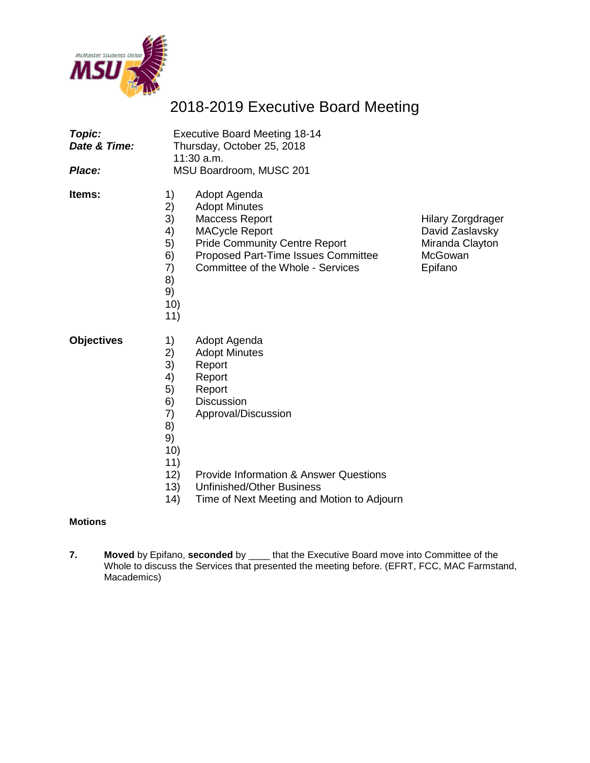

# 2018-2019 Executive Board Meeting

| Topic:<br>Date & Time:<br>Place: | <b>Executive Board Meeting 18-14</b><br>Thursday, October 25, 2018<br>$11:30$ a.m.<br>MSU Boardroom, MUSC 201                                                                                                                                                                                                                                  |                                                                                      |  |
|----------------------------------|------------------------------------------------------------------------------------------------------------------------------------------------------------------------------------------------------------------------------------------------------------------------------------------------------------------------------------------------|--------------------------------------------------------------------------------------|--|
| Items:                           | 1)<br>Adopt Agenda<br>2)<br><b>Adopt Minutes</b><br>3)<br><b>Maccess Report</b><br>4)<br><b>MACycle Report</b><br><b>Pride Community Centre Report</b><br>5)<br>6)<br>Proposed Part-Time Issues Committee<br>7)<br>Committee of the Whole - Services<br>8)<br>9)<br>10)<br>11)                                                                 | <b>Hilary Zorgdrager</b><br>David Zaslavsky<br>Miranda Clayton<br>McGowan<br>Epifano |  |
| <b>Objectives</b>                | 1)<br>Adopt Agenda<br>2)<br><b>Adopt Minutes</b><br>3)<br>Report<br>4)<br>Report<br>5)<br>Report<br>6)<br><b>Discussion</b><br>7)<br>Approval/Discussion<br>8)<br>9)<br>10)<br>11)<br>12)<br><b>Provide Information &amp; Answer Questions</b><br>13)<br><b>Unfinished/Other Business</b><br>14)<br>Time of Next Meeting and Motion to Adjourn |                                                                                      |  |

#### **Motions**

**7. Moved** by Epifano, **seconded** by \_\_\_\_ that the Executive Board move into Committee of the Whole to discuss the Services that presented the meeting before. (EFRT, FCC, MAC Farmstand, Macademics)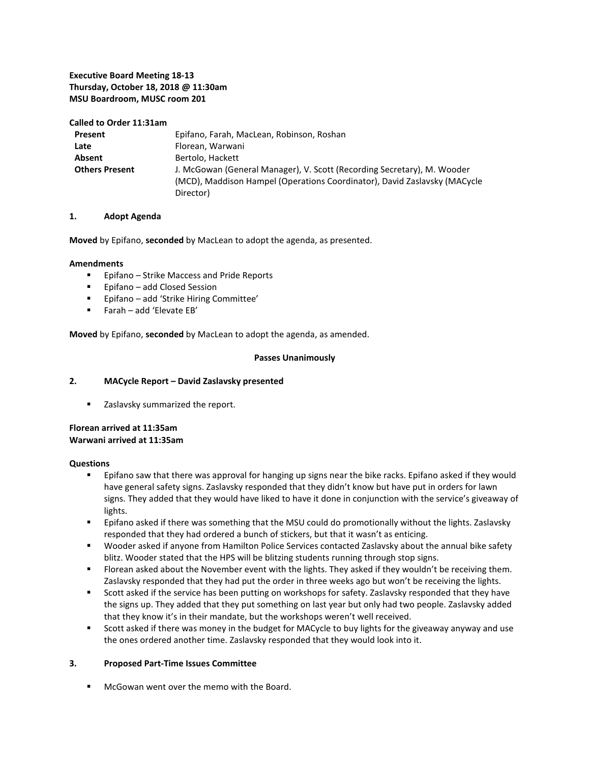#### **Executive Board Meeting 18-13 Thursday, October 18, 2018 @ 11:30am MSU Boardroom, MUSC room 201**

#### **Called to Order 11:31am**

| Present               | Epifano, Farah, MacLean, Robinson, Roshan                                                                                                                         |
|-----------------------|-------------------------------------------------------------------------------------------------------------------------------------------------------------------|
| Late                  | Florean, Warwani                                                                                                                                                  |
| Absent                | Bertolo, Hackett                                                                                                                                                  |
| <b>Others Present</b> | J. McGowan (General Manager), V. Scott (Recording Secretary), M. Wooder<br>(MCD), Maddison Hampel (Operations Coordinator), David Zaslavsky (MACycle<br>Director) |

#### **1. Adopt Agenda**

**Moved** by Epifano, **seconded** by MacLean to adopt the agenda, as presented.

#### **Amendments**

- Epifano Strike Maccess and Pride Reports
- Epifano add Closed Session
- Epifano add 'Strike Hiring Committee'
- Farah add 'Elevate EB'

**Moved** by Epifano, **seconded** by MacLean to adopt the agenda, as amended.

#### **Passes Unanimously**

#### **2. MACycle Report – David Zaslavsky presented**

**EXEC** Zaslavsky summarized the report.

#### **Florean arrived at 11:35am Warwani arrived at 11:35am**

#### **Questions**

- **Epifano saw that there was approval for hanging up signs near the bike racks. Epifano asked if they would** have general safety signs. Zaslavsky responded that they didn't know but have put in orders for lawn signs. They added that they would have liked to have it done in conjunction with the service's giveaway of lights.
- **Epifano asked if there was something that the MSU could do promotionally without the lights. Zaslavsky** responded that they had ordered a bunch of stickers, but that it wasn't as enticing.
- Wooder asked if anyone from Hamilton Police Services contacted Zaslavsky about the annual bike safety blitz. Wooder stated that the HPS will be blitzing students running through stop signs.
- Florean asked about the November event with the lights. They asked if they wouldn't be receiving them. Zaslavsky responded that they had put the order in three weeks ago but won't be receiving the lights.
- Scott asked if the service has been putting on workshops for safety. Zaslavsky responded that they have the signs up. They added that they put something on last year but only had two people. Zaslavsky added that they know it's in their mandate, but the workshops weren't well received.
- Scott asked if there was money in the budget for MACycle to buy lights for the giveaway anyway and use the ones ordered another time. Zaslavsky responded that they would look into it.

#### **3. Proposed Part-Time Issues Committee**

McGowan went over the memo with the Board.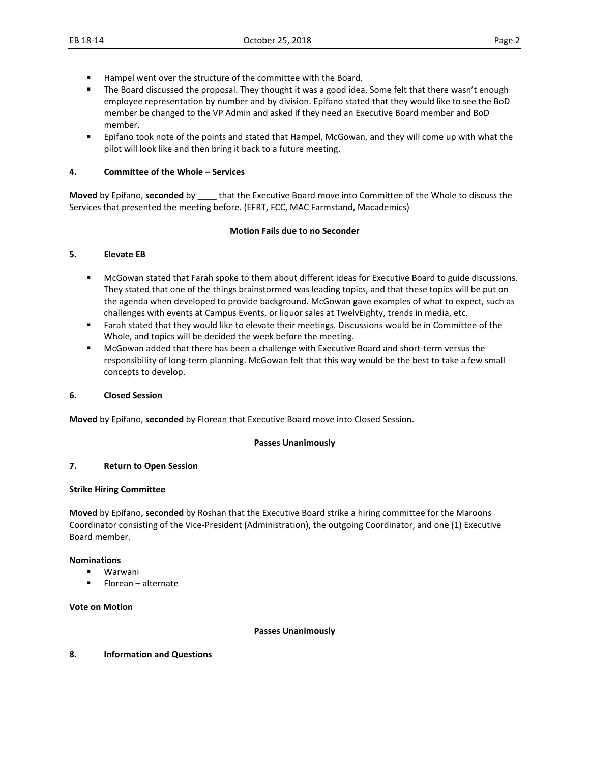- Hampel went over the structure of the committee with the Board.
- The Board discussed the proposal. They thought it was a good idea. Some felt that there wasn't enough employee representation by number and by division. Epifano stated that they would like to see the BoD member be changed to the VP Admin and asked if they need an Executive Board member and BoD member.
- Epifano took note of the points and stated that Hampel, McGowan, and they will come up with what the pilot will look like and then bring it back to a future meeting.

#### **4. Committee of the Whole – Services**

**Moved** by Epifano, **seconded** by \_\_\_\_ that the Executive Board move into Committee of the Whole to discuss the Services that presented the meeting before. (EFRT, FCC, MAC Farmstand, Macademics)

#### **Motion Fails due to no Seconder**

#### **5. Elevate EB**

- McGowan stated that Farah spoke to them about different ideas for Executive Board to guide discussions. They stated that one of the things brainstormed was leading topics, and that these topics will be put on the agenda when developed to provide background. McGowan gave examples of what to expect, such as challenges with events at Campus Events, or liquor sales at TwelvEighty, trends in media, etc.
- Farah stated that they would like to elevate their meetings. Discussions would be in Committee of the Whole, and topics will be decided the week before the meeting.
- McGowan added that there has been a challenge with Executive Board and short-term versus the responsibility of long-term planning. McGowan felt that this way would be the best to take a few small concepts to develop.

#### **6. Closed Session**

**Moved** by Epifano, **seconded** by Florean that Executive Board move into Closed Session.

#### **Passes Unanimously**

#### **7. Return to Open Session**

#### **Strike Hiring Committee**

**Moved** by Epifano, **seconded** by Roshan that the Executive Board strike a hiring committee for the Maroons Coordinator consisting of the Vice-President (Administration), the outgoing Coordinator, and one (1) Executive Board member.

#### **Nominations**

- Warwani
- **Florean alternate**

#### **Vote on Motion**

#### **Passes Unanimously**

#### **8. Information and Questions**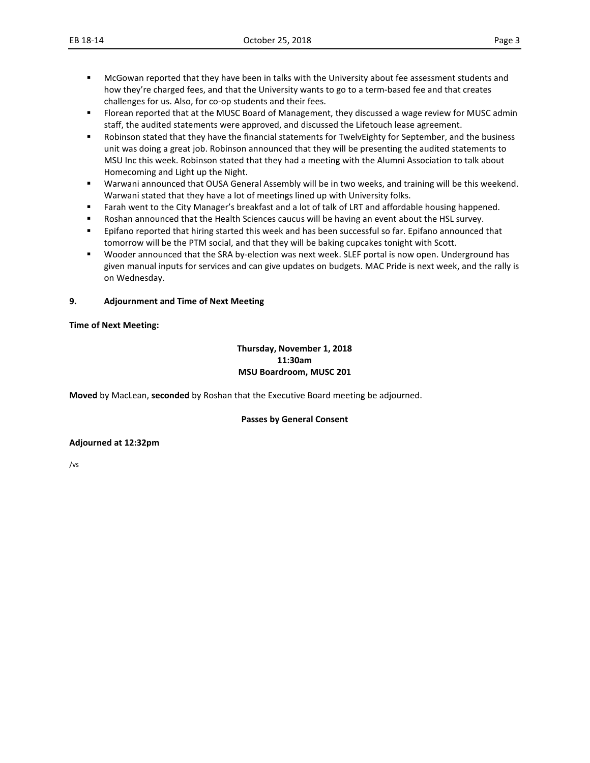- **MCGowan reported that they have been in talks with the University about fee assessment students and** how they're charged fees, and that the University wants to go to a term-based fee and that creates challenges for us. Also, for co-op students and their fees.
- Florean reported that at the MUSC Board of Management, they discussed a wage review for MUSC admin staff, the audited statements were approved, and discussed the Lifetouch lease agreement.
- Robinson stated that they have the financial statements for TwelvEighty for September, and the business unit was doing a great job. Robinson announced that they will be presenting the audited statements to MSU Inc this week. Robinson stated that they had a meeting with the Alumni Association to talk about Homecoming and Light up the Night.
- Warwani announced that OUSA General Assembly will be in two weeks, and training will be this weekend. Warwani stated that they have a lot of meetings lined up with University folks.
- **Farah went to the City Manager's breakfast and a lot of talk of LRT and affordable housing happened.**
- Roshan announced that the Health Sciences caucus will be having an event about the HSL survey.
- **Epifano reported that hiring started this week and has been successful so far. Epifano announced that** tomorrow will be the PTM social, and that they will be baking cupcakes tonight with Scott.
- Wooder announced that the SRA by-election was next week. SLEF portal is now open. Underground has given manual inputs for services and can give updates on budgets. MAC Pride is next week, and the rally is on Wednesday.

#### **9. Adjournment and Time of Next Meeting**

#### **Time of Next Meeting:**

#### **Thursday, November 1, 2018 11:30am MSU Boardroom, MUSC 201**

**Moved** by MacLean, **seconded** by Roshan that the Executive Board meeting be adjourned.

#### **Passes by General Consent**

#### **Adjourned at 12:32pm**

/vs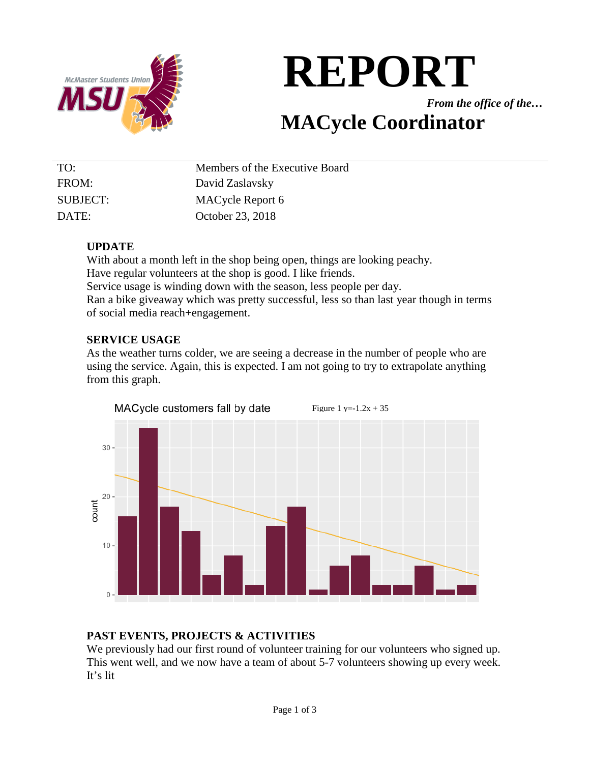

# **REPORT**

*From the office of the…*

# **MACycle Coordinator**

| TO:      | Members of the Executive Board |
|----------|--------------------------------|
| FROM:    | David Zaslavsky                |
| SUBJECT: | MACycle Report 6               |
| DATE:    | October 23, 2018               |

# **UPDATE**

With about a month left in the shop being open, things are looking peachy. Have regular volunteers at the shop is good. I like friends. Service usage is winding down with the season, less people per day. Ran a bike giveaway which was pretty successful, less so than last year though in terms of social media reach+engagement.

# **SERVICE USAGE**

As the weather turns colder, we are seeing a decrease in the number of people who are using the service. Again, this is expected. I am not going to try to extrapolate anything from this graph.



# **PAST EVENTS, PROJECTS & ACTIVITIES**

We previously had our first round of volunteer training for our volunteers who signed up. This went well, and we now have a team of about 5-7 volunteers showing up every week. It's lit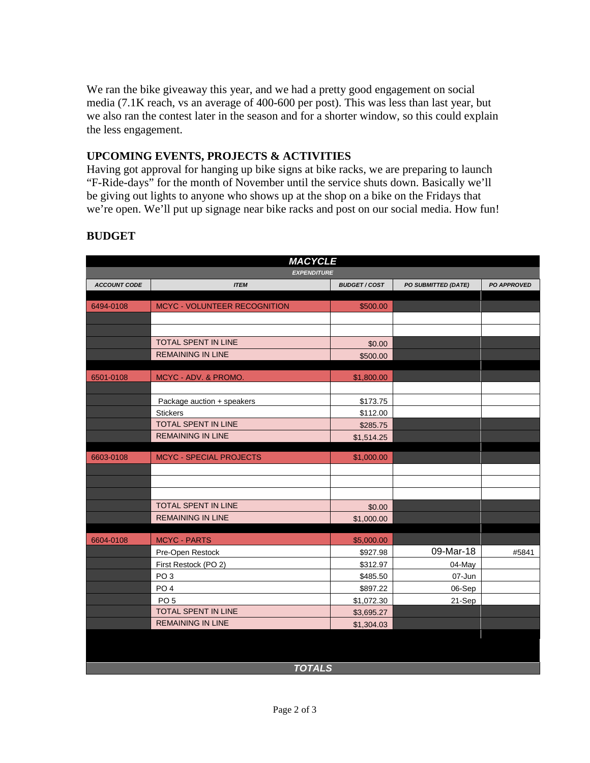We ran the bike giveaway this year, and we had a pretty good engagement on social media (7.1K reach, vs an average of 400-600 per post). This was less than last year, but we also ran the contest later in the season and for a shorter window, so this could explain the less engagement.

# **UPCOMING EVENTS, PROJECTS & ACTIVITIES**

Having got approval for hanging up bike signs at bike racks, we are preparing to launch "F-Ride-days" for the month of November until the service shuts down. Basically we'll be giving out lights to anyone who shows up at the shop on a bike on the Fridays that we're open. We'll put up signage near bike racks and post on our social media. How fun!

| <b>EXPENDITURE</b><br><b>ACCOUNT CODE</b><br><b>ITEM</b><br><b>BUDGET/COST</b><br>PO SUBMITTED (DATE)<br><b>PO APPROVED</b><br>MCYC - VOLUNTEER RECOGNITION<br>\$500.00<br>6494-0108<br><b>TOTAL SPENT IN LINE</b><br>\$0.00<br><b>REMAINING IN LINE</b><br>\$500.00<br>6501-0108<br>MCYC - ADV. & PROMO.<br>\$1,800.00<br>Package auction + speakers<br>\$173.75<br>\$112.00<br><b>Stickers</b><br>TOTAL SPENT IN LINE<br>\$285.75<br><b>REMAINING IN LINE</b><br>\$1,514.25<br>6603-0108<br><b>MCYC - SPECIAL PROJECTS</b><br>\$1,000.00<br>TOTAL SPENT IN LINE<br>\$0.00<br><b>REMAINING IN LINE</b><br>\$1,000.00<br><b>MCYC - PARTS</b><br>6604-0108<br>\$5,000.00<br>09-Mar-18<br>\$927.98<br>#5841<br>Pre-Open Restock<br>First Restock (PO 2)<br>\$312.97<br>04-May<br>PO <sub>3</sub><br>\$485.50<br>07-Jun<br>PO <sub>4</sub><br>\$897.22<br>06-Sep<br>PO <sub>5</sub><br>\$1,072.30<br>21-Sep<br><b>TOTAL SPENT IN LINE</b><br>\$3,695.27<br><b>REMAINING IN LINE</b><br>\$1,304.03 | <b>MACYCLE</b> |  |  |  |  |
|------------------------------------------------------------------------------------------------------------------------------------------------------------------------------------------------------------------------------------------------------------------------------------------------------------------------------------------------------------------------------------------------------------------------------------------------------------------------------------------------------------------------------------------------------------------------------------------------------------------------------------------------------------------------------------------------------------------------------------------------------------------------------------------------------------------------------------------------------------------------------------------------------------------------------------------------------------------------------------------------|----------------|--|--|--|--|
|                                                                                                                                                                                                                                                                                                                                                                                                                                                                                                                                                                                                                                                                                                                                                                                                                                                                                                                                                                                                |                |  |  |  |  |
|                                                                                                                                                                                                                                                                                                                                                                                                                                                                                                                                                                                                                                                                                                                                                                                                                                                                                                                                                                                                |                |  |  |  |  |
|                                                                                                                                                                                                                                                                                                                                                                                                                                                                                                                                                                                                                                                                                                                                                                                                                                                                                                                                                                                                |                |  |  |  |  |
|                                                                                                                                                                                                                                                                                                                                                                                                                                                                                                                                                                                                                                                                                                                                                                                                                                                                                                                                                                                                |                |  |  |  |  |
|                                                                                                                                                                                                                                                                                                                                                                                                                                                                                                                                                                                                                                                                                                                                                                                                                                                                                                                                                                                                |                |  |  |  |  |
|                                                                                                                                                                                                                                                                                                                                                                                                                                                                                                                                                                                                                                                                                                                                                                                                                                                                                                                                                                                                |                |  |  |  |  |
|                                                                                                                                                                                                                                                                                                                                                                                                                                                                                                                                                                                                                                                                                                                                                                                                                                                                                                                                                                                                |                |  |  |  |  |
|                                                                                                                                                                                                                                                                                                                                                                                                                                                                                                                                                                                                                                                                                                                                                                                                                                                                                                                                                                                                |                |  |  |  |  |
|                                                                                                                                                                                                                                                                                                                                                                                                                                                                                                                                                                                                                                                                                                                                                                                                                                                                                                                                                                                                |                |  |  |  |  |
|                                                                                                                                                                                                                                                                                                                                                                                                                                                                                                                                                                                                                                                                                                                                                                                                                                                                                                                                                                                                |                |  |  |  |  |
|                                                                                                                                                                                                                                                                                                                                                                                                                                                                                                                                                                                                                                                                                                                                                                                                                                                                                                                                                                                                |                |  |  |  |  |
|                                                                                                                                                                                                                                                                                                                                                                                                                                                                                                                                                                                                                                                                                                                                                                                                                                                                                                                                                                                                |                |  |  |  |  |
|                                                                                                                                                                                                                                                                                                                                                                                                                                                                                                                                                                                                                                                                                                                                                                                                                                                                                                                                                                                                |                |  |  |  |  |
|                                                                                                                                                                                                                                                                                                                                                                                                                                                                                                                                                                                                                                                                                                                                                                                                                                                                                                                                                                                                |                |  |  |  |  |
|                                                                                                                                                                                                                                                                                                                                                                                                                                                                                                                                                                                                                                                                                                                                                                                                                                                                                                                                                                                                |                |  |  |  |  |
|                                                                                                                                                                                                                                                                                                                                                                                                                                                                                                                                                                                                                                                                                                                                                                                                                                                                                                                                                                                                |                |  |  |  |  |
|                                                                                                                                                                                                                                                                                                                                                                                                                                                                                                                                                                                                                                                                                                                                                                                                                                                                                                                                                                                                |                |  |  |  |  |
|                                                                                                                                                                                                                                                                                                                                                                                                                                                                                                                                                                                                                                                                                                                                                                                                                                                                                                                                                                                                |                |  |  |  |  |
|                                                                                                                                                                                                                                                                                                                                                                                                                                                                                                                                                                                                                                                                                                                                                                                                                                                                                                                                                                                                |                |  |  |  |  |
|                                                                                                                                                                                                                                                                                                                                                                                                                                                                                                                                                                                                                                                                                                                                                                                                                                                                                                                                                                                                |                |  |  |  |  |
|                                                                                                                                                                                                                                                                                                                                                                                                                                                                                                                                                                                                                                                                                                                                                                                                                                                                                                                                                                                                |                |  |  |  |  |
|                                                                                                                                                                                                                                                                                                                                                                                                                                                                                                                                                                                                                                                                                                                                                                                                                                                                                                                                                                                                |                |  |  |  |  |
|                                                                                                                                                                                                                                                                                                                                                                                                                                                                                                                                                                                                                                                                                                                                                                                                                                                                                                                                                                                                |                |  |  |  |  |
|                                                                                                                                                                                                                                                                                                                                                                                                                                                                                                                                                                                                                                                                                                                                                                                                                                                                                                                                                                                                |                |  |  |  |  |
|                                                                                                                                                                                                                                                                                                                                                                                                                                                                                                                                                                                                                                                                                                                                                                                                                                                                                                                                                                                                |                |  |  |  |  |
|                                                                                                                                                                                                                                                                                                                                                                                                                                                                                                                                                                                                                                                                                                                                                                                                                                                                                                                                                                                                |                |  |  |  |  |
|                                                                                                                                                                                                                                                                                                                                                                                                                                                                                                                                                                                                                                                                                                                                                                                                                                                                                                                                                                                                |                |  |  |  |  |
|                                                                                                                                                                                                                                                                                                                                                                                                                                                                                                                                                                                                                                                                                                                                                                                                                                                                                                                                                                                                |                |  |  |  |  |
|                                                                                                                                                                                                                                                                                                                                                                                                                                                                                                                                                                                                                                                                                                                                                                                                                                                                                                                                                                                                |                |  |  |  |  |
|                                                                                                                                                                                                                                                                                                                                                                                                                                                                                                                                                                                                                                                                                                                                                                                                                                                                                                                                                                                                |                |  |  |  |  |
|                                                                                                                                                                                                                                                                                                                                                                                                                                                                                                                                                                                                                                                                                                                                                                                                                                                                                                                                                                                                |                |  |  |  |  |

# **BUDGET**

*TOTALS*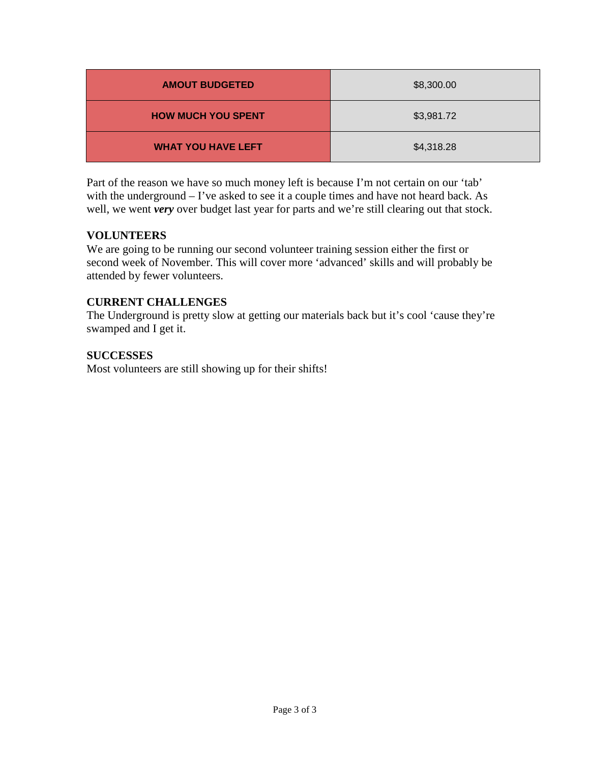| <b>AMOUT BUDGETED</b>     | \$8,300.00 |
|---------------------------|------------|
| <b>HOW MUCH YOU SPENT</b> | \$3,981.72 |
| <b>WHAT YOU HAVE LEFT</b> | \$4,318.28 |

Part of the reason we have so much money left is because I'm not certain on our 'tab' with the underground – I've asked to see it a couple times and have not heard back. As well, we went *very* over budget last year for parts and we're still clearing out that stock.

# **VOLUNTEERS**

We are going to be running our second volunteer training session either the first or second week of November. This will cover more 'advanced' skills and will probably be attended by fewer volunteers.

# **CURRENT CHALLENGES**

The Underground is pretty slow at getting our materials back but it's cool 'cause they're swamped and I get it.

# **SUCCESSES**

Most volunteers are still showing up for their shifts!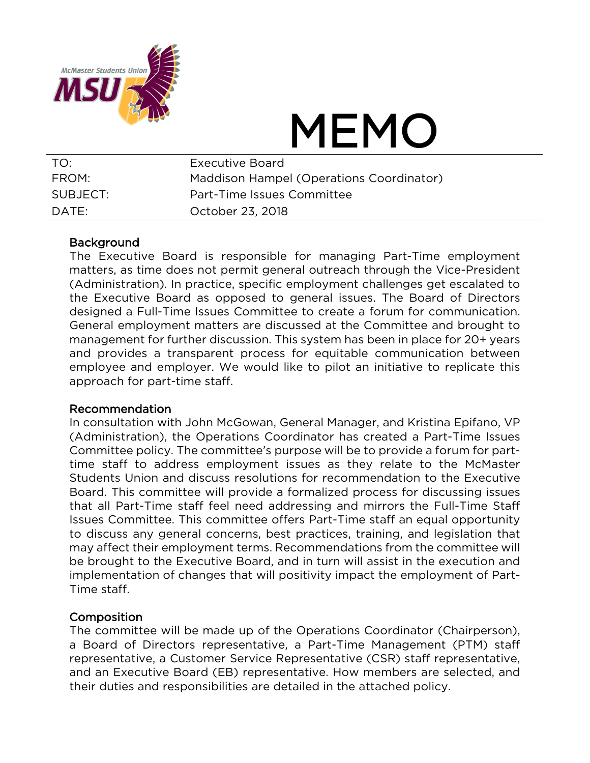

# MEMO

| TO:      | Executive Board                          |
|----------|------------------------------------------|
| FROM:    | Maddison Hampel (Operations Coordinator) |
| SUBJECT: | Part-Time Issues Committee               |
| DATF:    | October 23, 2018                         |

# **Background**

The Executive Board is responsible for managing Part-Time employment matters, as time does not permit general outreach through the Vice-President (Administration). In practice, specific employment challenges get escalated to the Executive Board as opposed to general issues. The Board of Directors designed a Full-Time Issues Committee to create a forum for communication. General employment matters are discussed at the Committee and brought to management for further discussion. This system has been in place for 20+ years and provides a transparent process for equitable communication between employee and employer. We would like to pilot an initiative to replicate this approach for part-time staff.

# Recommendation

In consultation with John McGowan, General Manager, and Kristina Epifano, VP (Administration), the Operations Coordinator has created a Part-Time Issues Committee policy. The committee's purpose will be to provide a forum for parttime staff to address employment issues as they relate to the McMaster Students Union and discuss resolutions for recommendation to the Executive Board. This committee will provide a formalized process for discussing issues that all Part-Time staff feel need addressing and mirrors the Full-Time Staff Issues Committee. This committee offers Part-Time staff an equal opportunity to discuss any general concerns, best practices, training, and legislation that may affect their employment terms. Recommendations from the committee will be brought to the Executive Board, and in turn will assist in the execution and implementation of changes that will positivity impact the employment of Part-Time staff.

# **Composition**

The committee will be made up of the Operations Coordinator (Chairperson), a Board of Directors representative, a Part-Time Management (PTM) staff representative, a Customer Service Representative (CSR) staff representative, and an Executive Board (EB) representative. How members are selected, and their duties and responsibilities are detailed in the attached policy.